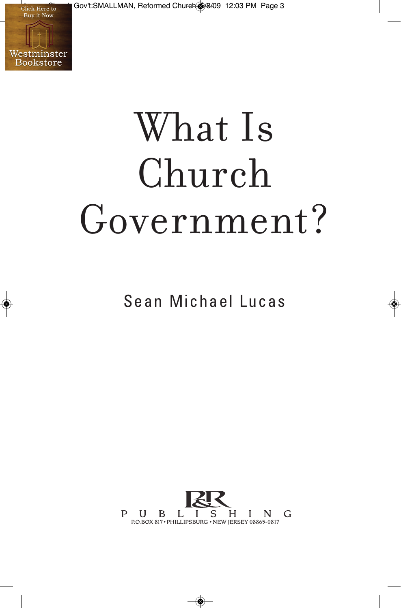Gov't:SMALLMAN, Reformed Church \$/8/09 12:03 PM Page 3



# What Is Church Government?

Sean Michael Lucas



⊛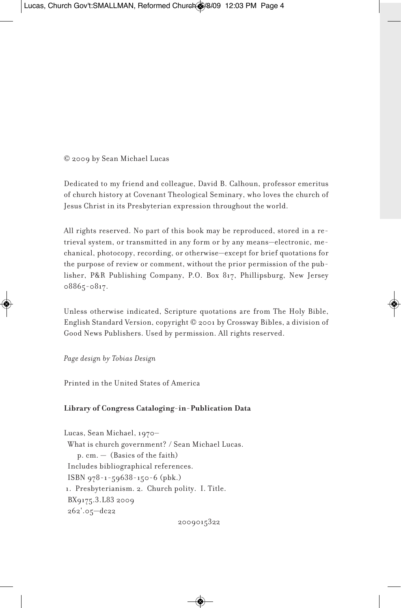© 2009 by Sean Michael Lucas

Dedicated to my friend and colleague, David B. Calhoun, professor emeritus of church history at Covenant Theological Seminary, who loves the church of Jesus Christ in its Presbyterian expression throughout the world.

All rights reserved. No part of this book may be reproduced, stored in a retrieval system, or transmitted in any form or by any means—electronic, mechanical, photocopy, recording, or otherwise—except for brief quotations for the purpose of review or comment, without the prior permission of the publisher, P&R Publishing Company, P.O. Box 817, Phillipsburg, New Jersey 08865-0817.

Unless otherwise indicated, Scripture quotations are from The Holy Bible, English Standard Version, copyright © 2001 by Crossway Bibles, a division of Good News Publishers. Used by permission. All rights reserved.

*Page design by Tobias Design*

Printed in the United States of America

## **Library of Congress Cataloging-in-Publication Data**

Lucas, Sean Michael, 1970– What is church government? / Sean Michael Lucas. p. cm. — (Basics of the faith) Includes bibliographical references. ISBN 978-1-59638-150-6 (pbk.) 1. Presbyterianism. 2. Church polity. I. Title. BX9175.3.L83 2009 262'.05—dc22

2009015322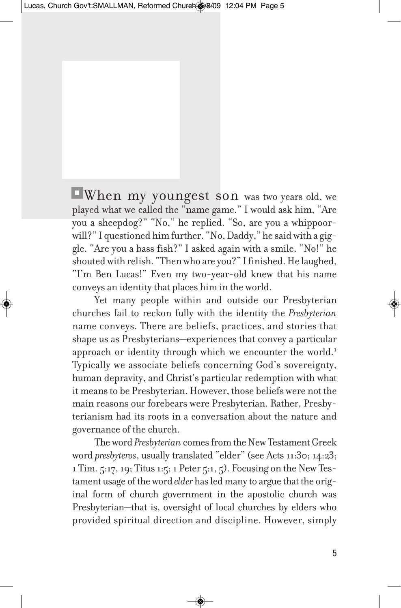When my youngest son was two years old, we played what we called the "name game." I would ask him, "Are you a sheepdog?" "No," he replied. "So, are you a whippoorwill?" I questioned him further. "No, Daddy," he said with a giggle. "Are you a bass fish?" I asked again with a smile. "No!" he shouted with relish. "Then who are you?" I finished. He laughed, "I'm Ben Lucas!" Even my two-year-old knew that his name conveys an identity that places him in the world.

Yet many people within and outside our Presbyterian churches fail to reckon fully with the identity the *Presbyterian* name conveys. There are beliefs, practices, and stories that shape us as Presbyterians—experiences that convey a particular approach or identity through which we encounter the world.<sup>1</sup> Typically we associate beliefs concerning God's sovereignty, human depravity, and Christ's particular redemption with what it means to be Presbyterian. However, those beliefs were not the main reasons our forebears were Presbyterian. Rather, Presbyterianism had its roots in a conversation about the nature and governance of the church.

The word *Presbyterian* comes from the New Testament Greek word *presbyteros*, usually translated "elder" (see Acts 11:30; 14:23; 1 Tim.  $5:17,19$ ; Titus 1:5; 1 Peter  $5:1, 5$ ). Focusing on the New Testament usage of the word *elder* has led many to argue that the original form of church government in the apostolic church was Presbyterian—that is, oversight of local churches by elders who provided spiritual direction and discipline. However, simply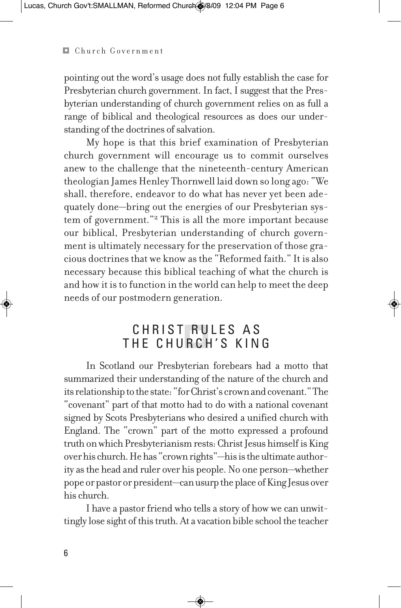## **E** Church Government

pointing out the word's usage does not fully establish the case for Presbyterian church government. In fact, I suggest that the Presbyterian understanding of church government relies on as full a range of biblical and theological resources as does our understanding of the doctrines of salvation.

My hope is that this brief examination of Presbyterian church government will encourage us to commit ourselves anew to the challenge that the nineteenth-century American theologian James Henley Thornwell laid down so long ago: "We shall, therefore, endeavor to do what has never yet been adequately done—bring out the energies of our Presbyterian system of government."2 This is all the more important because our biblical, Presbyterian understanding of church government is ultimately necessary for the preservation of those gracious doctrinesthat we know asthe "Reformed faith." It is also necessary because this biblical teaching of what the church is and how it is to function in the world can help to meet the deep needs of our postmodern generation.

## CHRIST RULES AS THE CHURCH'S KING

In Scotland our Presbyterian forebears had a motto that summarized their understanding of the nature of the church and its relationship to the state: "for Christ's crown and covenant." The "covenant" part of that motto had to do with a national covenant signed by Scots Presbyterians who desired a unified church with England. The "crown" part of the motto expressed a profound truth on which Presbyterianism rests: Christ Jesus himself is King overhis church.Hehas "crownrights"—hisistheultimate authority asthe head and ruler over his people.No one person—whether popeorpastororpresident—canusurptheplaceofKing Jesusover his church.

I have a pastor friend who tells a story of how we can unwittingly lose sight of this truth. At a vacation bible school the teacher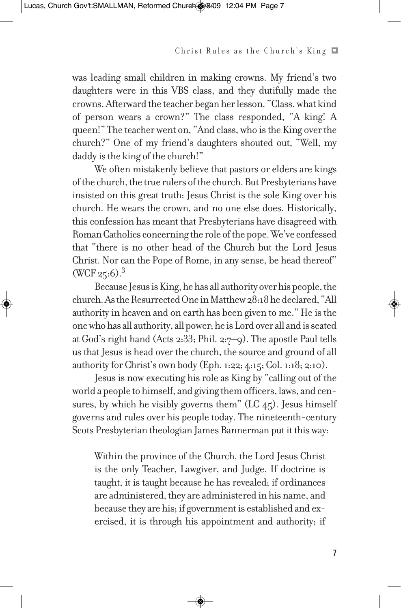## Christ Rules as the Church's King

was leading small children in making crowns. My friend's two daughters were in this VBS class, and they dutifully made the crowns.Afterward the teacher beganherlesson. "Class,what kind of person wears a crown?" The class responded, "A king! A queen!" The teacher went on, "And class, who is the King over the church?" One of my friend's daughters shouted out, "Well, my daddy is the king of the church!"

We often mistakenly believe that pastors or elders are kings of the church, the true rulers of the church. But Presbyterians have insisted on this great truth: Jesus Christ is the sole King over his church. He wears the crown, and no one else does. Historically, this confession has meant that Presbyterians have disagreed with Roman Catholics concerning the role of the pope. We've confessed that "there is no other head of the Church but the Lord Jesus Christ. Nor can the Pope of Rome, in any sense, be head thereof"  $(WCF_{25:6})$ <sup>3</sup>

Because Jesus is King, he has all authority over his people, the church. As the Resurrected One in Matthew 28:18 he declared, "All authority in heaven and on earth has been given to me."He isthe onewhohasallauthority,allpower;heisLordoverallandisseated at God's right hand (Acts 2:33; Phil. 2:7–9). The apostle Paul tells us that Jesus is head over the church, the source and ground of all authority for Christ's own body (Eph.1:22; 4:15; Col.1:18; 2:10).

Jesusis now executing hisrole as King by "calling out of the world a people to himself, and giving them officers, laws, and censures, by which he visibly governs them"  $(LC 45)$ . Jesus himself governs and rules over his people today. The nineteenth-century Scots Presbyterian theologian James Bannerman put it this way:

Within the province of the Church, the Lord Jesus Christ is the only Teacher, Lawgiver, and Judge. If doctrine is taught, it is taught because he has revealed; if ordinances are administered, they are administered in his name, and because they are his; if government is established and exercised, it is through his appointment and authority; if